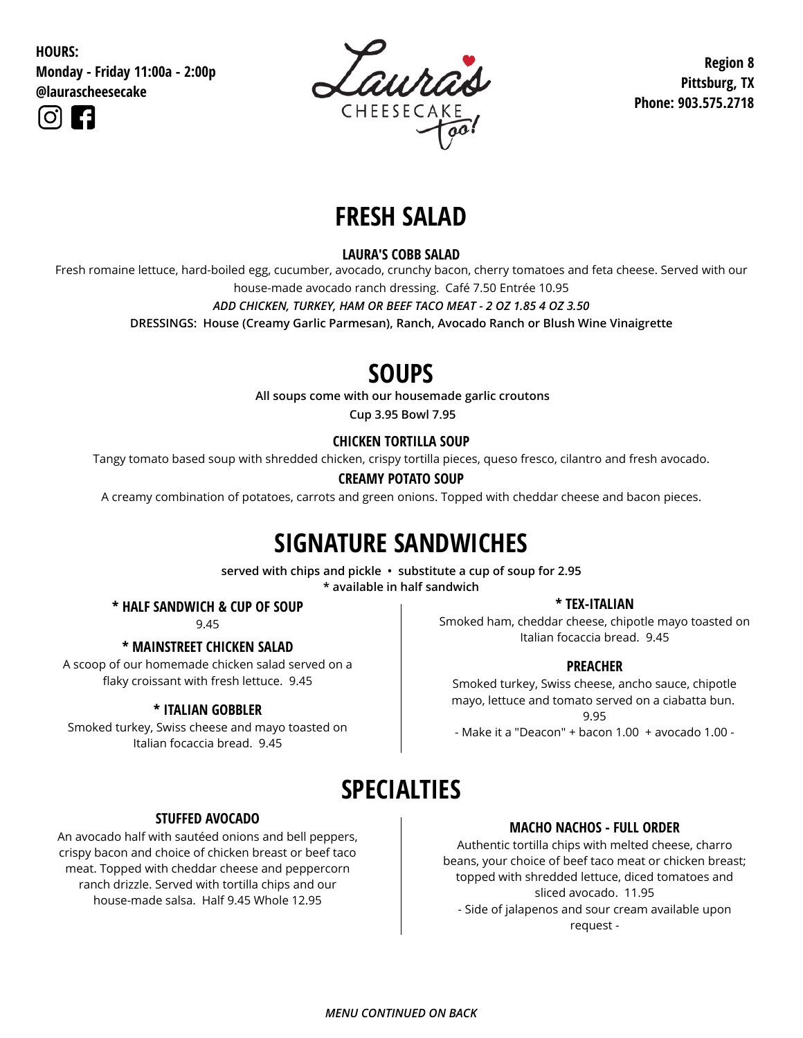**HOURS:**

**Monday - Friday 11:00a - 2:00p @laurascheesecake**





**Region 8 Pittsburg, TX Phone: 903.575.2718**

# **FRESH SALAD**

### **LAURA'S COBB SALAD**

Fresh romaine lettuce, hard-boiled egg, cucumber, avocado, crunchy bacon, cherry tomatoes and feta cheese. Served with our house-made avocado ranch dressing. Café 7.50 Entrée 10.95

*ADD CHICKEN, TURKEY, HAM OR BEEF TACO MEAT - 2 OZ 1.85 4 OZ 3.50*

**DRESSINGS: House (Creamy Garlic Parmesan), Ranch, Avocado Ranch or Blush Wine Vinaigrette**

## **SOUPS**

**All soups come with our housemade garlic croutons**

**Cup 3.95 Bowl 7.95**

### **CHICKEN TORTILLA SOUP**

Tangy tomato based soup with shredded chicken, crispy tortilla pieces, queso fresco, cilantro and fresh avocado.

### **CREAMY POTATO SOUP**

A creamy combination of potatoes, carrots and green onions. Topped with cheddar cheese and bacon pieces.

# **SIGNATURE SANDWICHES**

**served with chips and pickle • substitute a cup of soup for 2.95 \* available in half sandwich**

**\* HALF SANDWICH & CUP OF SOUP**

9.45

A scoop of our homemade chicken salad served on a flaky croissant with fresh lettuce. 9.45

### **\* ITALIAN GOBBLER**

Smoked turkey, Swiss cheese and mayo toasted on Italian focaccia bread. 9.45

#### **\* TEX-ITALIAN**

Smoked ham, cheddar cheese, chipotle mayo toasted on Italian focaccia bread. 9.45 **\* MAINSTREET CHICKEN SALAD**

### **PREACHER**

Smoked turkey, Swiss cheese, ancho sauce, chipotle mayo, lettuce and tomato served on a ciabatta bun. 9.95 - Make it a "Deacon" + bacon 1.00 + avocado 1.00 -

## **SPECIALTIES**

### **STUFFED AVOCADO**

An avocado half with sautéed onions and bell peppers, crispy bacon and choice of chicken breast or beef taco meat. Topped with cheddar cheese and peppercorn ranch drizzle. Served with tortilla chips and our house-made salsa. Half 9.45 Whole 12.95

### **MACHO NACHOS - FULL ORDER**

Authentic tortilla chips with melted cheese, charro beans, your choice of beef taco meat or chicken breast; topped with shredded lettuce, diced tomatoes and sliced avocado. 11.95 - Side of jalapenos and sour cream available upon request -

### *MENU CONTINUED ON BACK*